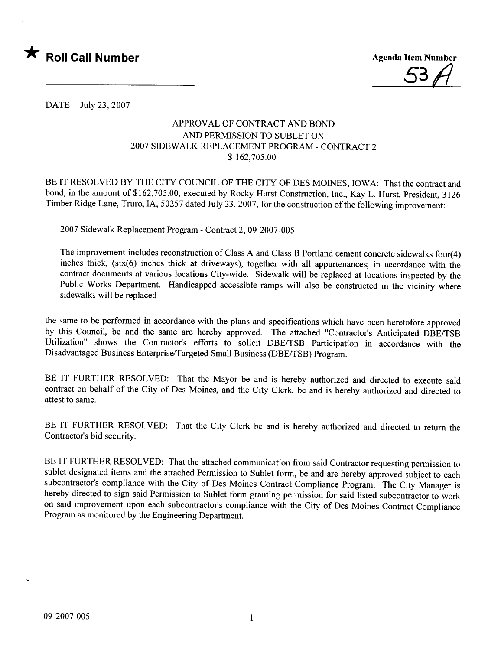

53f/

DATE July 23,2007

## APPROVAL OF CONTRACT AND BOND AND PERMISSION TO SUBLET ON 2007 SIDEWALK REPLACEMENT PROGRAM - CONTRACT 2 \$ 162,705.00

BE IT RESOLVED BY THE CITY COUNCIL OF THE CITY OF DES MOINES, IOWA: That the contract and bond, in the amount of \$162,705.00, executed by Rocky Hurst Construction, Inc., Kay L. Hurst, President, 3126 Timber Ridge Lane, Truro, IA, 50257 dated July 23, 2007, for the construction of the following improvement:

2007 Sidewalk Replacement Program - Contract 2,09-2007-005

The improvement includes reconstruction of Class A and Class B Portland cement concrete sidewalks four(4) inches thick, (six(6) inches thick at driveways), together with all appurtenances; in accordance with the contract documents at various locations City-wide. Sidewalk will be replaced at locations inspected by the Public Works Department. Handicapped accessible ramps will also be constructed in the vicinity where sidewalks will be replaced

the same to be performed in accordance with the plans and specifications which have been heretofore approved by this Council, be and the same are hereby approved. The attached "Contractor's Anticipated DBE/TSB Utilization" shows the Contractor's efforts to solicit DBE/TSB Participation in accordance with the Disadvantaged Business Enterprise/Targeted Small Business (DBE/TSB) Program.

BE IT FURTHER RESOLVED: That the Mayor be and is hereby authorized and directed to execute said contract on behalf of the City of Des Moines, and the City Clerk, be and is hereby authorized and directed to attest to same.

BE IT FURTHER RESOLVED: That the City Clerk be and is hereby authorized and directed to return the Contractor's bid security.

BE IT FURTHER RESOLVED: That the attached communication from said Contractor requesting permission to sublet designated items and the attached Permission to Sublet form, be and are hereby approved subject to each subcontractor's compliance with the City of Des Moines Contract Compliance Program. The City Manager is hereby directed to sign said Permission to Sublet form granting permission for said listed subcontractor to work on said improvement upon each subcontractor's compliance with the City of Des Moines Contract Compliance Program as monitored by the Engineering Department.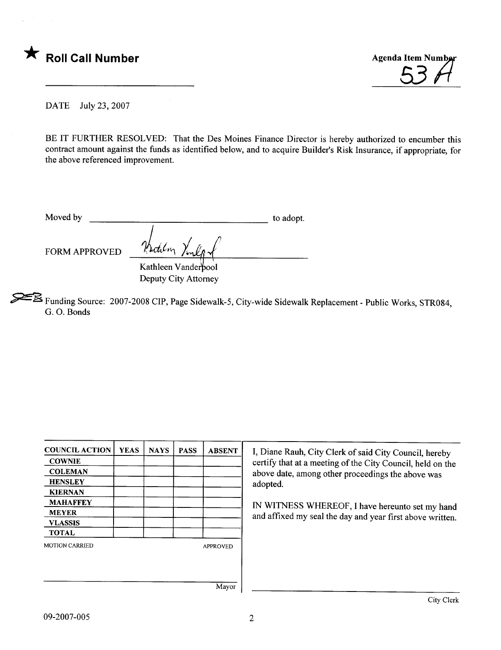



DATE July 23,2007

BE IT FURTHER RESOLVED: That the Des Moines Finance Director is hereby authorized to encumber this contract amount against the funds as identified below, and to acquire Builder's Risk Insurance, if appropriate, for the above referenced improvement.

| Moved by             |                | to adopt. |
|----------------------|----------------|-----------|
|                      |                |           |
|                      |                |           |
| <b>FORM APPROVED</b> | Katilon Vinlor |           |

Kathleen Vanderbool Deputy City Attorney

~ Funding Source: 2007-2008 CIP, Page Sidewalk-5, City-wide Sidewalk Replacement - Public Works, STR084, G. O. Bonds

| <b>COUNCIL ACTION</b> | <b>YEAS</b> | <b>NAYS</b> | <b>PASS</b> | <b>ABSENT</b>   | I, Diane Rauh, City Clerk of said City Council, hereby     |  |  |  |
|-----------------------|-------------|-------------|-------------|-----------------|------------------------------------------------------------|--|--|--|
| <b>COWNIE</b>         |             |             |             |                 | certify that at a meeting of the City Council, held on the |  |  |  |
| <b>COLEMAN</b>        |             |             |             |                 | above date, among other proceedings the above was          |  |  |  |
| <b>HENSLEY</b>        |             |             |             |                 | adopted.                                                   |  |  |  |
| <b>KIERNAN</b>        |             |             |             |                 |                                                            |  |  |  |
| <b>MAHAFFEY</b>       |             |             |             |                 | IN WITNESS WHEREOF, I have hereunto set my hand            |  |  |  |
| <b>MEYER</b>          |             |             |             |                 |                                                            |  |  |  |
| <b>VLASSIS</b>        |             |             |             |                 | and affixed my seal the day and year first above written.  |  |  |  |
| <b>TOTAL</b>          |             |             |             |                 |                                                            |  |  |  |
| <b>MOTION CARRIED</b> |             |             |             | <b>APPROVED</b> |                                                            |  |  |  |
|                       |             |             |             |                 |                                                            |  |  |  |
|                       |             |             |             |                 |                                                            |  |  |  |
|                       |             |             |             |                 |                                                            |  |  |  |
|                       |             |             |             | Mayor           |                                                            |  |  |  |